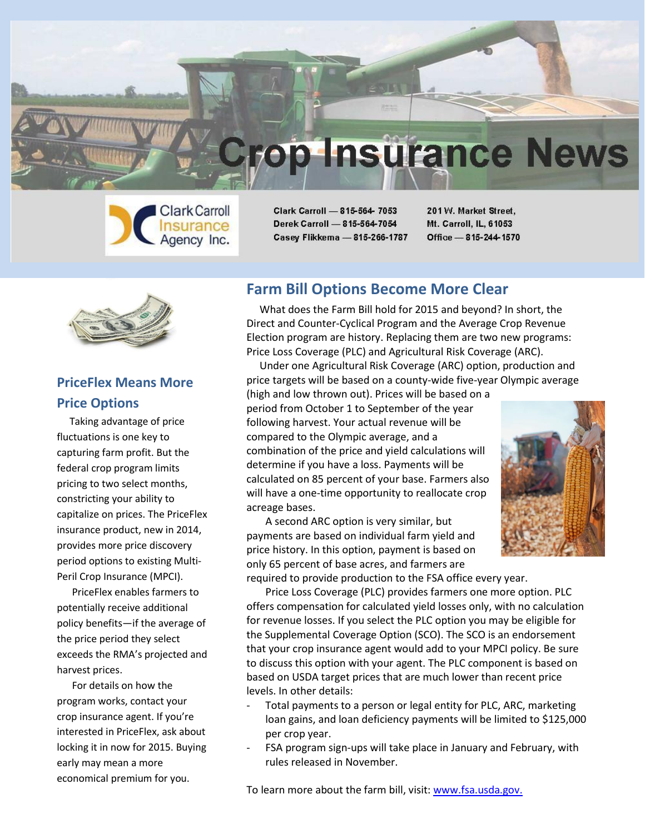



Clark Carroll - 815-564- 7053 Derek Carroll - 815-564-7054 Casey Flikkema - 815-266-1787 201 W. Market Street. Mt. Carroll, IL, 61053 Office - 815-244-1570



# **PriceFlex Means More Price Options**

 Taking advantage of price fluctuations is one key to capturing farm profit. But the federal crop program limits pricing to two select months, constricting your ability to capitalize on prices. The PriceFlex insurance product, new in 2014, provides more price discovery period options to existing Multi-Peril Crop Insurance (MPCI).

 PriceFlex enables farmers to potentially receive additional policy benefits—if the average of the price period they select exceeds the RMA's projected and harvest prices.

 For details on how the program works, contact your crop insurance agent. If you're interested in PriceFlex, ask about locking it in now for 2015. Buying early may mean a more economical premium for you.

## **Farm Bill Options Become More Clear**

 What does the Farm Bill hold for 2015 and beyond? In short, the Direct and Counter-Cyclical Program and the Average Crop Revenue Election program are history. Replacing them are two new programs: Price Loss Coverage (PLC) and Agricultural Risk Coverage (ARC).

 Under one Agricultural Risk Coverage (ARC) option, production and price targets will be based on a county-wide five-year Olympic average

(high and low thrown out). Prices will be based on a period from October 1 to September of the year following harvest. Your actual revenue will be compared to the Olympic average, and a combination of the price and yield calculations will determine if you have a loss. Payments will be calculated on 85 percent of your base. Farmers also will have a one-time opportunity to reallocate crop acreage bases.



A second ARC option is very similar, but payments are based on individual farm yield and price history. In this option, payment is based on only 65 percent of base acres, and farmers are required to provide production to the FSA office every year.

Price Loss Coverage (PLC) provides farmers one more option. PLC offers compensation for calculated yield losses only, with no calculation for revenue losses. If you select the PLC option you may be eligible for the Supplemental Coverage Option (SCO). The SCO is an endorsement that your crop insurance agent would add to your MPCI policy. Be sure to discuss this option with your agent. The PLC component is based on based on USDA target prices that are much lower than recent price levels. In other details:

- Total payments to a person or legal entity for PLC, ARC, marketing loan gains, and loan deficiency payments will be limited to \$125,000 per crop year.
- FSA program sign-ups will take place in January and February, with rules released in November.

To learn more about the farm bill, visit: [www.fsa.usda.gov.](http://r20.rs6.net/tn.jsp?e=001J79Yzv1vmVna4UKgMQl338Xy6wLe1ogddm0L3_B0rHebvItZxykNKdvH77-WPZCd4cgZmkv4Is65bwzjIl2AVPeh1AjWUPqnh6M9FKaZ_VY=)